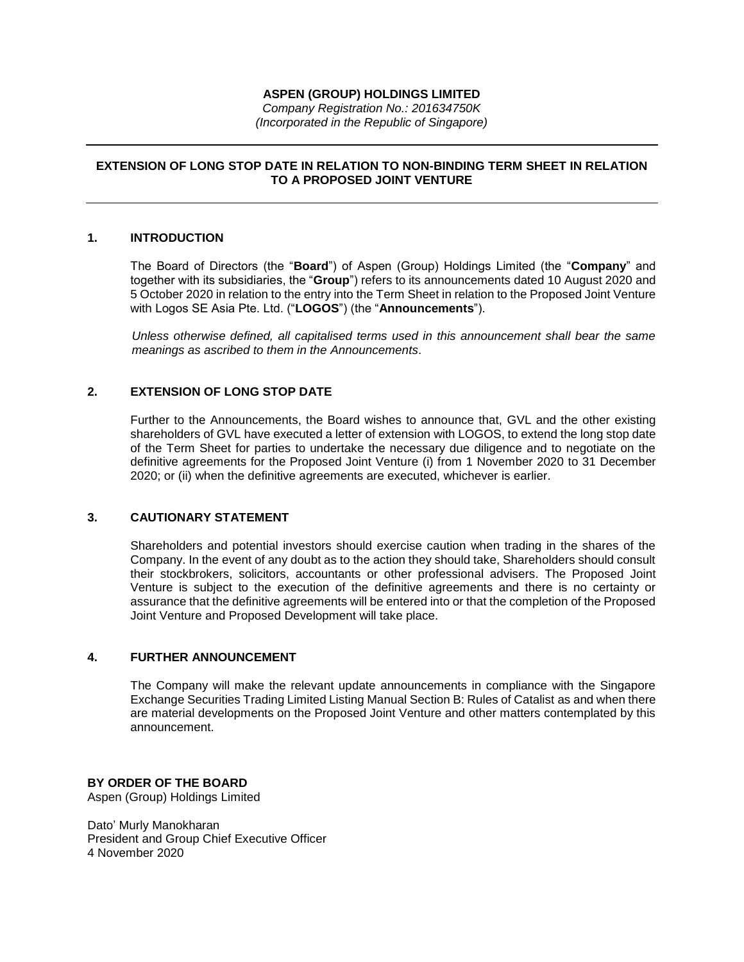## **ASPEN (GROUP) HOLDINGS LIMITED**

*Company Registration No.: 201634750K (Incorporated in the Republic of Singapore)*

# **EXTENSION OF LONG STOP DATE IN RELATION TO NON-BINDING TERM SHEET IN RELATION TO A PROPOSED JOINT VENTURE**

## **1. INTRODUCTION**

The Board of Directors (the "**Board**") of Aspen (Group) Holdings Limited (the "**Company**" and together with its subsidiaries, the "**Group**") refers to its announcements dated 10 August 2020 and 5 October 2020 in relation to the entry into the Term Sheet in relation to the Proposed Joint Venture with Logos SE Asia Pte. Ltd. ("**LOGOS**") (the "**Announcements**").

*Unless otherwise defined, all capitalised terms used in this announcement shall bear the same meanings as ascribed to them in the Announcements*.

## **2. EXTENSION OF LONG STOP DATE**

Further to the Announcements, the Board wishes to announce that, GVL and the other existing shareholders of GVL have executed a letter of extension with LOGOS, to extend the long stop date of the Term Sheet for parties to undertake the necessary due diligence and to negotiate on the definitive agreements for the Proposed Joint Venture (i) from 1 November 2020 to 31 December 2020; or (ii) when the definitive agreements are executed, whichever is earlier.

## **3. CAUTIONARY STATEMENT**

Shareholders and potential investors should exercise caution when trading in the shares of the Company. In the event of any doubt as to the action they should take, Shareholders should consult their stockbrokers, solicitors, accountants or other professional advisers. The Proposed Joint Venture is subject to the execution of the definitive agreements and there is no certainty or assurance that the definitive agreements will be entered into or that the completion of the Proposed Joint Venture and Proposed Development will take place.

#### **4. FURTHER ANNOUNCEMENT**

The Company will make the relevant update announcements in compliance with the Singapore Exchange Securities Trading Limited Listing Manual Section B: Rules of Catalist as and when there are material developments on the Proposed Joint Venture and other matters contemplated by this announcement.

#### **BY ORDER OF THE BOARD**

Aspen (Group) Holdings Limited

Dato' Murly Manokharan President and Group Chief Executive Officer 4 November 2020